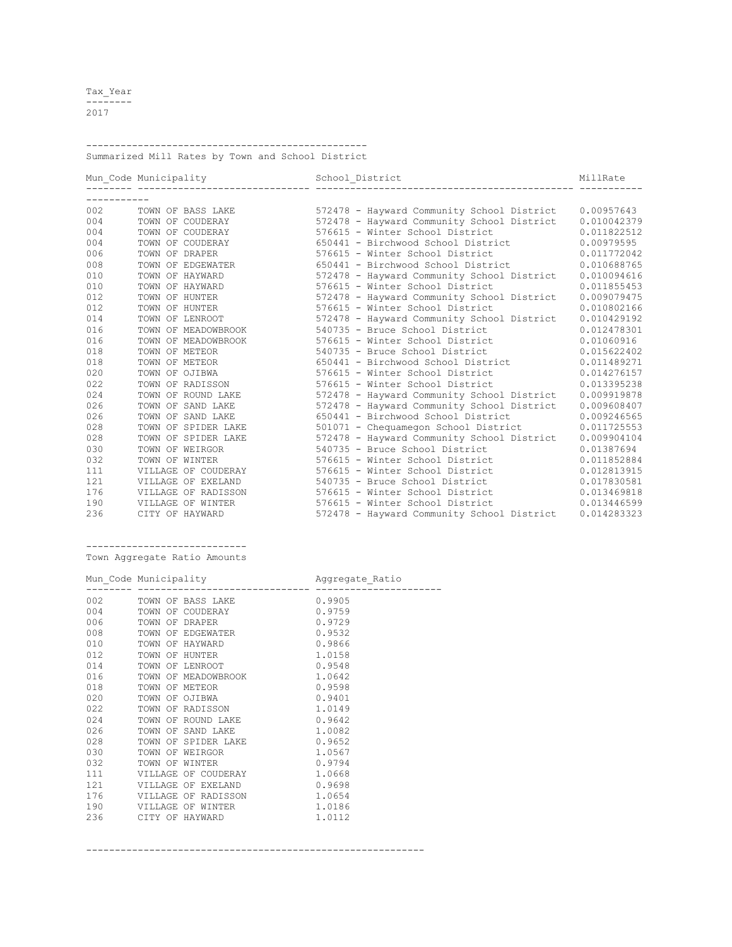Tax\_Year -------- 2017

-------------------------------------------------

Summarized Mill Rates by Town and School District

|     |                     | School District                                      | MillRate    |
|-----|---------------------|------------------------------------------------------|-------------|
|     |                     |                                                      |             |
| 002 | TOWN OF BASS LAKE   | 572478 - Hayward Community School District           | 0.00957643  |
| 004 | TOWN OF COUDERAY    | 572478 - Hayward Community School District           | 0.010042379 |
| 004 | TOWN OF COUDERAY    | 576615 - Winter School District                      | 0.011822512 |
| 004 | TOWN OF COUDERAY    | 650441 - Birchwood School District                   | 0.00979595  |
| 006 | TOWN OF DRAPER      | 576615 - Winter School District                      | 0.011772042 |
| 008 |                     | TOWN OF EDGEWATER 650441 - Birchwood School District | 0.010688765 |
| 010 | TOWN OF HAYWARD     | 572478 - Hayward Community School District           | 0.010094616 |
| 010 | TOWN OF HAYWARD     | 576615 - Winter School District                      | 0.011855453 |
| 012 | TOWN OF HUNTER      | 572478 - Hayward Community School District           | 0.009079475 |
| 012 | TOWN OF HUNTER      | 576615 - Winter School District                      | 0.010802166 |
| 014 | TOWN OF LENROOT     | 572478 - Hayward Community School District           | 0.010429192 |
| 016 |                     | TOWN OF MEADOWBROOK 540735 - Bruce School District   | 0.012478301 |
| 016 |                     | TOWN OF MEADOWBROOK 576615 - Winter School District  | 0.01060916  |
| 018 | TOWN OF METEOR      | 540735 - Bruce School District                       | 0.015622402 |
| 018 | TOWN OF METEOR      | 650441 - Birchwood School District                   | 0.011489271 |
| 020 | TOWN OF OJIBWA      | 576615 - Winter School District                      | 0.014276157 |
| 022 | TOWN OF RADISSON    | 576615 - Winter School District                      | 0.013395238 |
| 024 | TOWN OF ROUND LAKE  | 572478 - Hayward Community School District           | 0.009919878 |
| 026 | TOWN OF SAND LAKE   | 572478 - Hayward Community School District           | 0.009608407 |
| 026 | TOWN OF SAND LAKE   | 650441 - Birchwood School District                   | 0.009246565 |
| 028 | TOWN OF SPIDER LAKE | 501071 - Chequamegon School District                 | 0.011725553 |
| 028 | TOWN OF SPIDER LAKE | 572478 - Hayward Community School District           | 0.009904104 |
| 030 | TOWN OF WEIRGOR     | 540735 - Bruce School District                       | 0.01387694  |
| 032 | TOWN OF WINTER      | 576615 - Winter School District                      | 0.011852884 |
| 111 |                     | VILLAGE OF COUDERAY 576615 - Winter School District  | 0.012813915 |
| 121 | VILLAGE OF EXELAND  | 540735 - Bruce School District                       | 0.017830581 |
| 176 |                     | VILLAGE OF RADISSON 576615 - Winter School District  | 0.013469818 |
| 190 | VILLAGE OF WINTER   | 576615 - Winter School District                      | 0.013446599 |
| 236 | CITY OF HAYWARD     | 572478 - Hayward Community School District           | 0.014283323 |

----------------------------

|  | Town Aggregate Ratio Amounts |  |  |
|--|------------------------------|--|--|
|--|------------------------------|--|--|

|         | Mun_Code Municipality Mundate_Ratio                         |        |
|---------|-------------------------------------------------------------|--------|
|         | 002 TOWN OF BASS LAKE 0.9905<br>004 TOWN OF COUDERAY 0.9759 |        |
|         |                                                             |        |
|         | 006 TOWN OF DRAPER<br>0.9729                                |        |
|         | 008 TOWN OF EDGEWATER                                       | 0.9532 |
|         | 010 TOWN OF HAYWARD<br>0.9866                               |        |
|         | 012 TOWN OF HUNTER                                          | 1.0158 |
| 014     | TOWN OF LENROOT                                             | 0.9548 |
|         | 016 TOWN OF MEADOWBROOK 1.0642                              |        |
|         | 018 TOWN OF METEOR                                          | 0.9598 |
|         | 020 TOWN OF OJIBWA                                          | 0.9401 |
|         | 022 TOWN OF RADISSON<br>1.0149                              |        |
|         | 024 TOWN OF ROUND LAKE                                      | 0.9642 |
|         | 026 TOWN OF SAND LAKE                                       | 1.0082 |
| 028     | TOWN OF SPIDER LAKE                                         | 0.9652 |
| 030 030 | TOWN OF WEIRGOR                                             | 1.0567 |
|         | 032 TOWN OF WINTER                                          | 0.9794 |
|         | 111 VILLAGE OF COUDERAY                                     | 1.0668 |
|         | 121 VILLAGE OF EXELAND                                      | 0.9698 |
|         | 176 VILLAGE OF RADISSON<br>1.0654                           |        |
|         | 190 VILLAGE OF WINTER                                       | 1.0186 |
|         | 236 CITY OF HAYWARD                                         | 1.0112 |

-----------------------------------------------------------